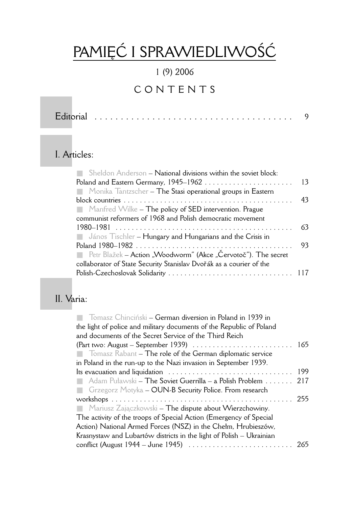# PAMIĘĆ I SPRAWIEDLIWOŚĆ

#### 1 (9) 2006

# CONTENTS

Editorial . . . . . . . . . . . . . . . . . . . . . . . . . . . . . . . . . . . . . . 9

#### I. Articles:

| 13 |
|----|
|    |
| 43 |
|    |
|    |
| 63 |
|    |
| 93 |
|    |
|    |
|    |
|    |

### II. Varia:

| <b>The Tomasz Chinciński – German diversion in Poland in 1939 in</b>                                     |     |
|----------------------------------------------------------------------------------------------------------|-----|
| the light of police and military documents of the Republic of Poland                                     |     |
| and documents of the Secret Service of the Third Reich                                                   |     |
| (Part two: August – September 1939) $\ldots \ldots \ldots \ldots \ldots \ldots \ldots \ldots \ldots 165$ |     |
| <b>The roof of the German diplomatic service The role of the German diplomatic service</b>               |     |
| in Poland in the run-up to the Nazi invasion in September 1939.                                          |     |
| Its evacuation and liquidation                                                                           | 199 |
| Adam Puławski – The Soviet Guerrilla – a Polish Problem                                                  | 217 |
| <b>Example:</b> Grzegorz Motyka – OUN-B Security Police. From research                                   |     |
|                                                                                                          | 255 |
| $\blacksquare$ Mariusz Zajączkowski – The dispute about Wierzchowiny.                                    |     |
| The activity of the troops of Special Action (Emergency of Special                                       |     |
| Action) National Armed Forces (NSZ) in the Chełm, Hrubieszów,                                            |     |
| Krasnystaw and Lubartów districts in the light of Polish – Ukrainian                                     |     |
|                                                                                                          |     |
|                                                                                                          |     |